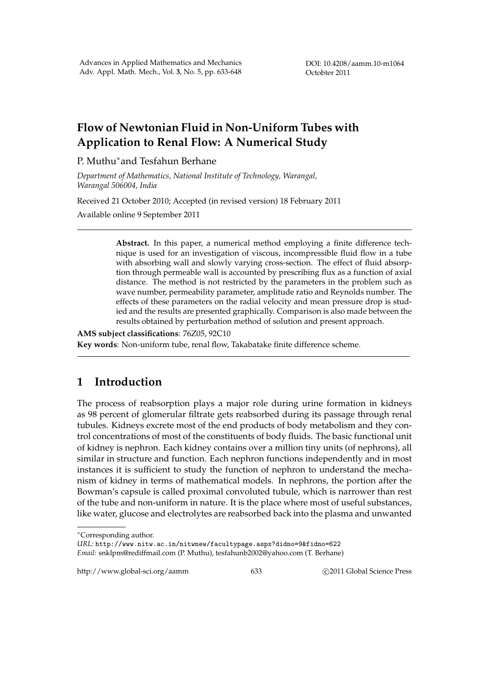DOI: 10.4208/aamm.10-m1064 Octobter 2011

# **Flow of Newtonian Fluid in Non-Uniform Tubes with Application to Renal Flow: A Numerical Study**

#### P. Muthu*∗*and Tesfahun Berhane

*Department of Mathematics, National Institute of Technology, Warangal, Warangal 506004, India*

Received 21 October 2010; Accepted (in revised version) 18 February 2011

Available online 9 September 2011

**Abstract.** In this paper, a numerical method employing a finite difference technique is used for an investigation of viscous, incompressible fluid flow in a tube with absorbing wall and slowly varying cross-section. The effect of fluid absorption through permeable wall is accounted by prescribing flux as a function of axial distance. The method is not restricted by the parameters in the problem such as wave number, permeability parameter, amplitude ratio and Reynolds number. The effects of these parameters on the radial velocity and mean pressure drop is studied and the results are presented graphically. Comparison is also made between the results obtained by perturbation method of solution and present approach.

**AMS subject classifications**: 76Z05, 92C10 **Key words**: Non-uniform tube, renal flow, Takabatake finite difference scheme.

## **1 Introduction**

The process of reabsorption plays a major role during urine formation in kidneys as 98 percent of glomerular filtrate gets reabsorbed during its passage through renal tubules. Kidneys excrete most of the end products of body metabolism and they control concentrations of most of the constituents of body fluids. The basic functional unit of kidney is nephron. Each kidney contains over a million tiny units (of nephrons), all similar in structure and function. Each nephron functions independently and in most instances it is sufficient to study the function of nephron to understand the mechanism of kidney in terms of mathematical models. In nephrons, the portion after the Bowman's capsule is called proximal convoluted tubule, which is narrower than rest of the tube and non-uniform in nature. It is the place where most of useful substances, like water, glucose and electrolytes are reabsorbed back into the plasma and unwanted

http://www.global-sci.org/aamm 633 633 **blue 2011** Global Science Press

*<sup>∗</sup>*Corresponding author.

*URL:* http://www.nitw.ac.in/nitwnew/facultypage.aspx?didno=9&fidno=622 *Email:* snklpm@rediffmail.com (P. Muthu), tesfahunb2002@yahoo.com (T. Berhane)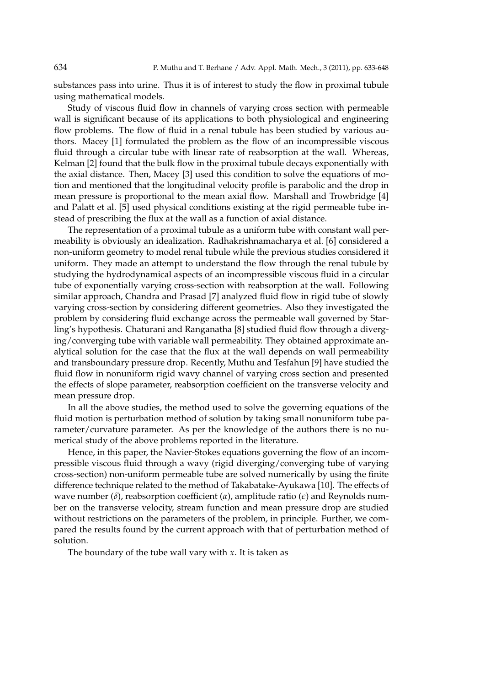substances pass into urine. Thus it is of interest to study the flow in proximal tubule using mathematical models.

Study of viscous fluid flow in channels of varying cross section with permeable wall is significant because of its applications to both physiological and engineering flow problems. The flow of fluid in a renal tubule has been studied by various authors. Macey [1] formulated the problem as the flow of an incompressible viscous fluid through a circular tube with linear rate of reabsorption at the wall. Whereas, Kelman [2] found that the bulk flow in the proximal tubule decays exponentially with the axial distance. Then, Macey [3] used this condition to solve the equations of motion and mentioned that the longitudinal velocity profile is parabolic and the drop in mean pressure is proportional to the mean axial flow. Marshall and Trowbridge [4] and Palatt et al. [5] used physical conditions existing at the rigid permeable tube instead of prescribing the flux at the wall as a function of axial distance.

The representation of a proximal tubule as a uniform tube with constant wall permeability is obviously an idealization. Radhakrishnamacharya et al. [6] considered a non-uniform geometry to model renal tubule while the previous studies considered it uniform. They made an attempt to understand the flow through the renal tubule by studying the hydrodynamical aspects of an incompressible viscous fluid in a circular tube of exponentially varying cross-section with reabsorption at the wall. Following similar approach, Chandra and Prasad [7] analyzed fluid flow in rigid tube of slowly varying cross-section by considering different geometries. Also they investigated the problem by considering fluid exchange across the permeable wall governed by Starling's hypothesis. Chaturani and Ranganatha [8] studied fluid flow through a diverging/converging tube with variable wall permeability. They obtained approximate analytical solution for the case that the flux at the wall depends on wall permeability and transboundary pressure drop. Recently, Muthu and Tesfahun [9] have studied the fluid flow in nonuniform rigid wavy channel of varying cross section and presented the effects of slope parameter, reabsorption coefficient on the transverse velocity and mean pressure drop.

In all the above studies, the method used to solve the governing equations of the fluid motion is perturbation method of solution by taking small nonuniform tube parameter/curvature parameter. As per the knowledge of the authors there is no numerical study of the above problems reported in the literature.

Hence, in this paper, the Navier-Stokes equations governing the flow of an incompressible viscous fluid through a wavy (rigid diverging/converging tube of varying cross-section) non-uniform permeable tube are solved numerically by using the finite difference technique related to the method of Takabatake-Ayukawa [10]. The effects of wave number (*δ*), reabsorption coefficient (*α*), amplitude ratio (*ϵ*) and Reynolds number on the transverse velocity, stream function and mean pressure drop are studied without restrictions on the parameters of the problem, in principle. Further, we compared the results found by the current approach with that of perturbation method of solution.

The boundary of the tube wall vary with *x*. It is taken as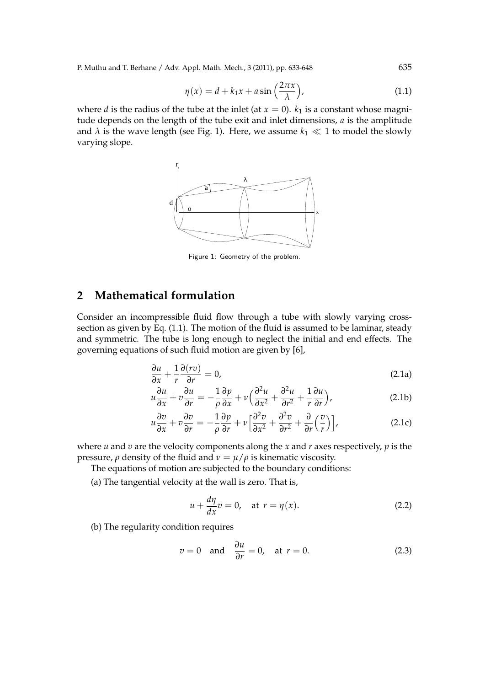P. Muthu and T. Berhane / Adv. Appl. Math. Mech., 3 (2011), pp. 633-648 635

$$
\eta(x) = d + k_1 x + a \sin\left(\frac{2\pi x}{\lambda}\right),\tag{1.1}
$$

where *d* is the radius of the tube at the inlet (at  $x = 0$ ).  $k_1$  is a constant whose magnitude depends on the length of the tube exit and inlet dimensions, *a* is the amplitude and  $\lambda$  is the wave length (see Fig. 1). Here, we assume  $k_1 \ll 1$  to model the slowly varying slope.



Figure 1: Geometry of the problem.

### **2 Mathematical formulation**

Consider an incompressible fluid flow through a tube with slowly varying crosssection as given by Eq. (1.1). The motion of the fluid is assumed to be laminar, steady and symmetric. The tube is long enough to neglect the initial and end effects. The governing equations of such fluid motion are given by [6],

$$
\frac{\partial u}{\partial x} + \frac{1}{r} \frac{\partial (r v)}{\partial r} = 0,
$$
\n(2.1a)

$$
u\frac{\partial u}{\partial x} + v\frac{\partial u}{\partial r} = -\frac{1}{\rho}\frac{\partial p}{\partial x} + v\left(\frac{\partial^2 u}{\partial x^2} + \frac{\partial^2 u}{\partial r^2} + \frac{1}{r}\frac{\partial u}{\partial r}\right),\tag{2.1b}
$$

$$
u\frac{\partial v}{\partial x} + v\frac{\partial v}{\partial r} = -\frac{1}{\rho}\frac{\partial p}{\partial r} + v\left[\frac{\partial^2 v}{\partial x^2} + \frac{\partial^2 v}{\partial r^2} + \frac{\partial}{\partial r}\left(\frac{v}{r}\right)\right],
$$
 (2.1c)

where *u* and *v* are the velocity components along the *x* and *r* axes respectively, *p* is the pressure, *ρ* density of the fluid and  $ν = μ/ρ$  is kinematic viscosity.

The equations of motion are subjected to the boundary conditions:

(a) The tangential velocity at the wall is zero. That is,

$$
u + \frac{d\eta}{dx}v = 0, \quad \text{at } r = \eta(x). \tag{2.2}
$$

(b) The regularity condition requires

$$
v = 0
$$
 and  $\frac{\partial u}{\partial r} = 0$ , at  $r = 0$ . (2.3)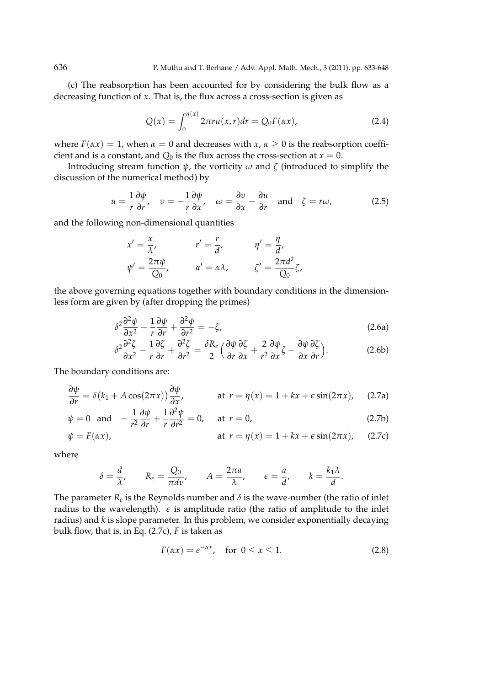(c) The reabsorption has been accounted for by considering the bulk flow as a decreasing function of *x*. That is, the flux across a cross-section is given as

$$
Q(x) = \int_0^{\eta(x)} 2\pi r u(x, r) dr = Q_0 F(\alpha x),
$$
 (2.4)

where  $F(\alpha x) = 1$ , when  $\alpha = 0$  and decreases with  $x, \alpha \ge 0$  is the reabsorption coefficient and is a constant, and  $Q_0$  is the flux across the cross-section at  $x = 0$ .

Introducing stream function  $\psi$ , the vorticity  $\omega$  and  $\zeta$  (introduced to simplify the discussion of the numerical method) by

$$
u = \frac{1}{r} \frac{\partial \psi}{\partial r}, \quad v = -\frac{1}{r} \frac{\partial \psi}{\partial x}, \quad \omega = \frac{\partial v}{\partial x} - \frac{\partial u}{\partial r} \quad \text{and} \quad \zeta = r\omega,
$$
 (2.5)

and the following non-dimensional quantities

$$
x' = \frac{x}{\lambda'}, \qquad r' = \frac{r}{d'}, \qquad \eta' = \frac{\eta}{d'},
$$
  

$$
\psi' = \frac{2\pi\psi}{Q_0}, \qquad \alpha' = \alpha\lambda, \qquad \zeta' = \frac{2\pi d^2}{Q_0}\zeta,
$$

the above governing equations together with boundary conditions in the dimensionless form are given by (after dropping the primes)

$$
\delta^2 \frac{\partial^2 \psi}{\partial x^2} - \frac{1}{r} \frac{\partial \psi}{\partial r} + \frac{\partial^2 \psi}{\partial r^2} = -\zeta,
$$
\n(2.6a)

$$
\delta^2 \frac{\partial^2 \zeta}{\partial x^2} - \frac{1}{r} \frac{\partial \zeta}{\partial r} + \frac{\partial^2 \zeta}{\partial r^2} = \frac{\delta R_e}{2} \left( \frac{\partial \psi}{\partial r} \frac{\partial \zeta}{\partial x} + \frac{2}{r^2} \frac{\partial \psi}{\partial x} \zeta - \frac{\partial \psi}{\partial x} \frac{\partial \zeta}{\partial r} \right).
$$
 (2.6b)

The boundary conditions are:

$$
\frac{\partial \psi}{\partial r} = \delta (k_1 + A \cos(2\pi x)) \frac{\partial \psi}{\partial x}, \qquad \text{at } r = \eta(x) = 1 + kx + \epsilon \sin(2\pi x), \quad (2.7a)
$$

$$
\psi = 0 \text{ and } -\frac{1}{r^2} \frac{\partial \psi}{\partial r} + \frac{1}{r} \frac{\partial^2 \psi}{\partial r^2} = 0, \text{ at } r = 0,
$$
\n(2.7b)

$$
\psi = F(\alpha x), \qquad \text{at } r = \eta(x) = 1 + kx + \epsilon \sin(2\pi x), \quad (2.7c)
$$

where

$$
\delta = \frac{d}{\lambda}, \qquad R_e = \frac{Q_0}{\pi d\nu}, \qquad A = \frac{2\pi a}{\lambda}, \qquad \epsilon = \frac{a}{d}, \qquad k = \frac{k_1 \lambda}{d}.
$$

The parameter  $R_e$  is the Reynolds number and  $\delta$  is the wave-number (the ratio of inlet radius to the wavelength).  $\epsilon$  is amplitude ratio (the ratio of amplitude to the inlet radius) and *k* is slope parameter. In this problem, we consider exponentially decaying bulk flow, that is, in Eq. (2.7c), *F* is taken as

$$
F(\alpha x) = e^{-\alpha x}, \quad \text{for } 0 \le x \le 1. \tag{2.8}
$$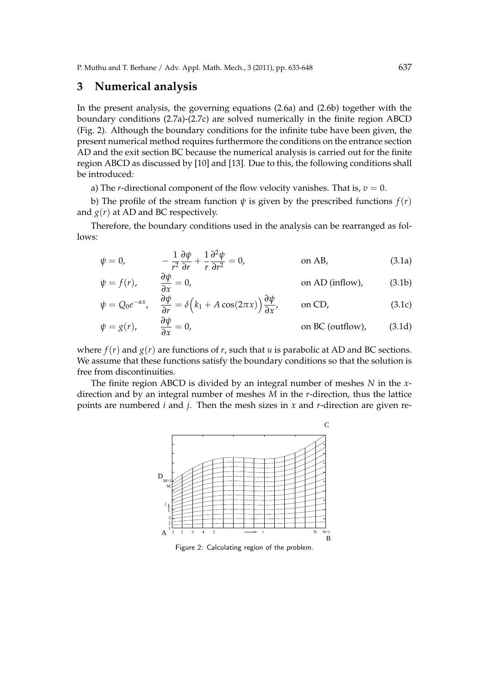#### **3 Numerical analysis**

In the present analysis, the governing equations (2.6a) and (2.6b) together with the boundary conditions (2.7a)-(2.7c) are solved numerically in the finite region ABCD (Fig. 2). Although the boundary conditions for the infinite tube have been given, the present numerical method requires furthermore the conditions on the entrance section AD and the exit section BC because the numerical analysis is carried out for the finite region ABCD as discussed by [10] and [13]. Due to this, the following conditions shall be introduced:

a) The *r*-directional component of the flow velocity vanishes. That is,  $v = 0$ .

b) The profile of the stream function  $\psi$  is given by the prescribed functions  $f(r)$ and  $g(r)$  at AD and BC respectively.

Therefore, the boundary conditions used in the analysis can be rearranged as follows:

$$
\psi = 0, \qquad -\frac{1}{r^2} \frac{\partial \psi}{\partial r} + \frac{1}{r} \frac{\partial^2 \psi}{\partial r^2} = 0, \qquad \text{on AB,} \qquad (3.1a)
$$

$$
\psi = f(r), \qquad \frac{\partial \psi}{\partial x} = 0, \qquad \text{on AD (inflow)}, \qquad (3.1b)
$$

$$
\psi = Q_0 e^{-\alpha x}, \quad \frac{\partial \psi}{\partial r} = \delta \left( k_1 + A \cos(2\pi x) \right) \frac{\partial \psi}{\partial x}, \quad \text{on CD,}
$$
\n(3.1c)

$$
\psi = g(r), \qquad \frac{\partial \psi}{\partial x} = 0, \qquad \text{on BC (outflow)}, \qquad (3.1d)
$$

where  $f(r)$  and  $g(r)$  are functions of *r*, such that *u* is parabolic at AD and BC sections. We assume that these functions satisfy the boundary conditions so that the solution is free from discontinuities.

The finite region ABCD is divided by an integral number of meshes *N* in the *x*direction and by an integral number of meshes *M* in the *r*-direction, thus the lattice points are numbered *i* and *j*. Then the mesh sizes in *x* and *r*-direction are given re-



Figure 2: Calculating region of the problem.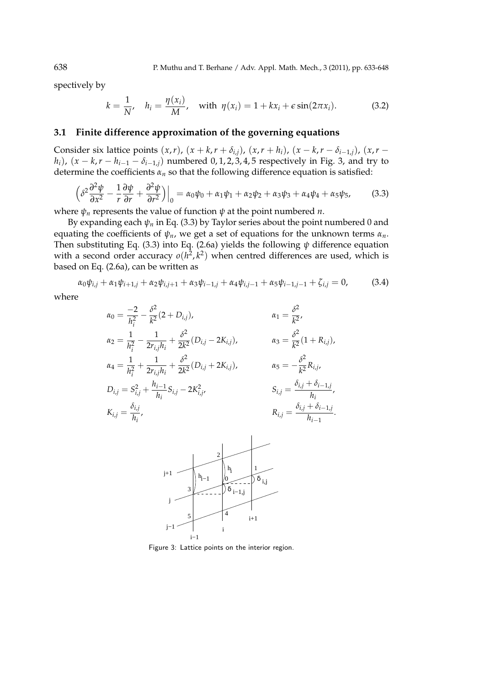spectively by

$$
k = \frac{1}{N'}, \quad h_i = \frac{\eta(x_i)}{M}, \quad \text{with } \eta(x_i) = 1 + kx_i + \epsilon \sin(2\pi x_i). \tag{3.2}
$$

#### **3.1 Finite difference approximation of the governing equations**

Consider six lattice points  $(x, r)$ ,  $(x + k, r + \delta_{i,j})$ ,  $(x, r + h_i)$ ,  $(x - k, r - \delta_{i-1,j})$ ,  $(x, r$ *h*<sub>*i*</sub>), (*x* − *k*,*r* − *h*<sub>*i*−1</sub> − *δ*<sub>*i*−1,*j*</sub>) numbered 0, 1, 2, 3, 4, 5 respectively in Fig. 3, and try to determine the coefficients *α<sup>n</sup>* so that the following difference equation is satisfied:

$$
\left. \left( \delta^2 \frac{\partial^2 \psi}{\partial x^2} - \frac{1}{r} \frac{\partial \psi}{\partial r} + \frac{\partial^2 \psi}{\partial r^2} \right) \right|_0 = \alpha_0 \psi_0 + \alpha_1 \psi_1 + \alpha_2 \psi_2 + \alpha_3 \psi_3 + \alpha_4 \psi_4 + \alpha_5 \psi_5,\tag{3.3}
$$

where  $\psi_n$  represents the value of function  $\psi$  at the point numbered *n*.

By expanding each  $\psi_n$  in Eq. (3.3) by Taylor series about the point numbered 0 and equating the coefficients of *ψn*, we get a set of equations for the unknown terms *αn*. Then substituting Eq. (3.3) into Eq. (2.6a) yields the following *ψ* difference equation with a second order accuracy  $o(h^2, k^2)$  when centred differences are used, which is based on Eq. (2.6a), can be written as

$$
\alpha_0 \psi_{i,j} + \alpha_1 \psi_{i+1,j} + \alpha_2 \psi_{i,j+1} + \alpha_3 \psi_{i-1,j} + \alpha_4 \psi_{i,j-1} + \alpha_5 \psi_{i-1,j-1} + \zeta_{i,j} = 0, \qquad (3.4)
$$

where

$$
\alpha_0 = \frac{-2}{h_i^2} - \frac{\delta^2}{k^2} (2 + D_{i,j}), \qquad \alpha_1 = \frac{\delta^2}{k^2},
$$
  
\n
$$
\alpha_2 = \frac{1}{h_i^2} - \frac{1}{2r_{i,j}h_i} + \frac{\delta^2}{2k^2} (D_{i,j} - 2K_{i,j}), \qquad \alpha_3 = \frac{\delta^2}{k^2} (1 + R_{i,j}),
$$
  
\n
$$
\alpha_4 = \frac{1}{h_i^2} + \frac{1}{2r_{i,j}h_i} + \frac{\delta^2}{2k^2} (D_{i,j} + 2K_{i,j}), \qquad \alpha_5 = -\frac{\delta^2}{k^2} R_{i,j},
$$
  
\n
$$
D_{i,j} = S_{i,j}^2 + \frac{h_{i-1}}{h_i} S_{i,j} - 2K_{i,j}^2, \qquad S_{i,j} = \frac{\delta_{i,j} + \delta_{i-1,j}}{h_i},
$$
  
\n
$$
K_{i,j} = \frac{\delta_{i,j}}{h_i}.
$$
  
\n
$$
R_{i,j} = \frac{\delta_{i,j} + \delta_{i-1,j}}{h_{i-1}}.
$$



Figure 3: Lattice points on the interior region.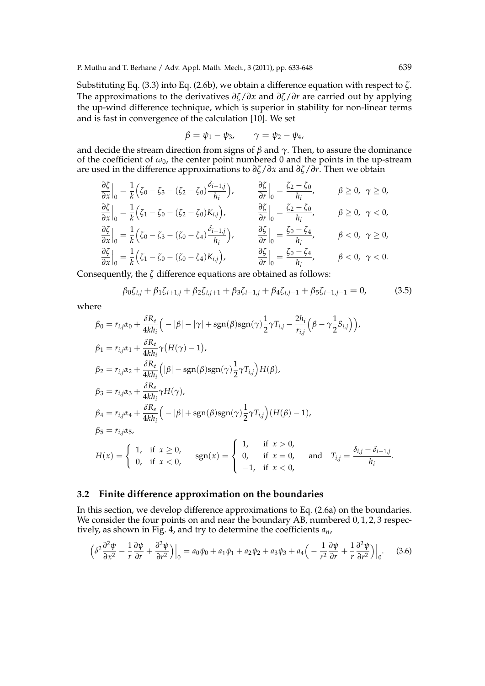Substituting Eq. (3.3) into Eq. (2.6b), we obtain a difference equation with respect to *ζ*. The approximations to the derivatives *∂ζ*/*∂x* and *∂ζ*/*∂r* are carried out by applying the up-wind difference technique, which is superior in stability for non-linear terms and is fast in convergence of the calculation [10]. We set

$$
\beta = \psi_1 - \psi_3, \qquad \gamma = \psi_2 - \psi_4,
$$

and decide the stream direction from signs of  $\beta$  and  $\gamma$ . Then, to assure the dominance of the coefficient of  $\omega_0$ , the center point numbered 0 and the points in the up-stream are used in the difference approximations to *∂ζ*/*∂x* and *∂ζ*/*∂r*. Then we obtain

$$
\frac{\partial \zeta}{\partial x}\Big|_{0} = \frac{1}{k} \Big( \zeta_{0} - \zeta_{3} - (\zeta_{2} - \zeta_{0}) \frac{\delta_{i-1,j}}{h_{i}} \Big), \qquad \frac{\partial \zeta}{\partial r}\Big|_{0} = \frac{\zeta_{2} - \zeta_{0}}{h_{i}}, \qquad \beta \ge 0, \ \gamma \ge 0,
$$
\n
$$
\frac{\partial \zeta}{\partial x}\Big|_{0} = \frac{1}{k} \Big( \zeta_{1} - \zeta_{0} - (\zeta_{2} - \zeta_{0}) K_{i,j} \Big), \qquad \frac{\partial \zeta}{\partial r}\Big|_{0} = \frac{\zeta_{2} - \zeta_{0}}{h_{i}}, \qquad \beta \ge 0, \ \gamma < 0,
$$
\n
$$
\frac{\partial \zeta}{\partial x}\Big|_{0} = \frac{1}{k} \Big( \zeta_{0} - \zeta_{3} - (\zeta_{0} - \zeta_{4}) \frac{\delta_{i-1,j}}{h_{i}} \Big), \qquad \frac{\partial \zeta}{\partial r}\Big|_{0} = \frac{\zeta_{0} - \zeta_{4}}{h_{i}}, \qquad \beta < 0, \ \gamma \ge 0,
$$
\n
$$
\frac{\partial \zeta}{\partial x}\Big|_{0} = \frac{1}{k} \Big( \zeta_{1} - \zeta_{0} - (\zeta_{0} - \zeta_{4}) K_{i,j} \Big), \qquad \frac{\partial \zeta}{\partial r}\Big|_{0} = \frac{\zeta_{0} - \zeta_{4}}{h_{i}}, \qquad \beta < 0, \ \gamma < 0.
$$

Consequently, the *ζ* difference equations are obtained as follows:

$$
\beta_0 \zeta_{i,j} + \beta_1 \zeta_{i+1,j} + \beta_2 \zeta_{i,j+1} + \beta_3 \zeta_{i-1,j} + \beta_4 \zeta_{i,j-1} + \beta_5 \zeta_{i-1,j-1} = 0,
$$
 (3.5)

where

$$
\beta_0 = r_{i,j}\alpha_0 + \frac{\delta R_e}{4kh_i} \Big( -|\beta| - |\gamma| + \text{sgn}(\beta)\text{sgn}(\gamma) \frac{1}{2}\gamma T_{i,j} - \frac{2h_i}{r_{i,j}} \Big( \beta - \gamma \frac{1}{2}S_{i,j} \Big) \Big),
$$
  
\n
$$
\beta_1 = r_{i,j}\alpha_1 + \frac{\delta R_e}{4kh_i} \gamma \big( H(\gamma) - 1 \big),
$$
  
\n
$$
\beta_2 = r_{i,j}\alpha_2 + \frac{\delta R_e}{4kh_i} \Big( |\beta| - \text{sgn}(\beta)\text{sgn}(\gamma) \frac{1}{2}\gamma T_{i,j} \Big) H(\beta),
$$
  
\n
$$
\beta_3 = r_{i,j}\alpha_3 + \frac{\delta R_e}{4kh_i} \gamma H(\gamma),
$$
  
\n
$$
\beta_4 = r_{i,j}\alpha_4 + \frac{\delta R_e}{4kh_i} \Big( -|\beta| + \text{sgn}(\beta)\text{sgn}(\gamma) \frac{1}{2}\gamma T_{i,j} \Big) (H(\beta) - 1),
$$
  
\n
$$
\beta_5 = r_{i,j}\alpha_5,
$$
  
\n
$$
H(x) = \begin{cases} 1, & \text{if } x \ge 0, \\ 0, & \text{if } x < 0, \end{cases}
$$
sgn(x) = 
$$
\begin{cases} 1, & \text{if } x > 0, \\ 0, & \text{if } x = 0, \\ -1, & \text{if } x < 0, \end{cases}
$$
 and  $T_{i,j} = \frac{\delta_{i,j} - \delta_{i-1,j}}{h_i}.$ 

#### **3.2 Finite difference approximation on the boundaries**

In this section, we develop difference approximations to Eq. (2.6a) on the boundaries. We consider the four points on and near the boundary AB, numbered 0, 1, 2, 3 respectively, as shown in Fig. 4, and try to determine the coefficients *an*,

$$
\left(\delta^2 \frac{\partial^2 \psi}{\partial x^2} - \frac{1}{r} \frac{\partial \psi}{\partial r} + \frac{\partial^2 \psi}{\partial r^2}\right)\Big|_0 = a_0 \psi_0 + a_1 \psi_1 + a_2 \psi_2 + a_3 \psi_3 + a_4 \left(-\frac{1}{r^2} \frac{\partial \psi}{\partial r} + \frac{1}{r} \frac{\partial^2 \psi}{\partial r^2}\right)\Big|_0.
$$
 (3.6)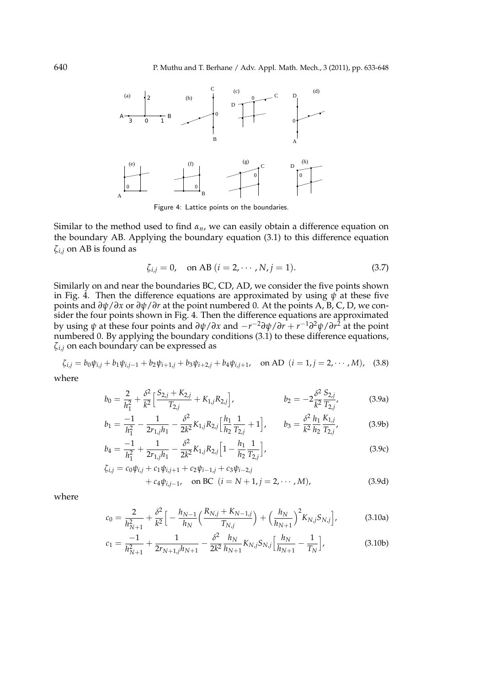

Figure 4: Lattice points on the boundaries.

Similar to the method used to find  $\alpha_n$ , we can easily obtain a difference equation on the boundary AB. Applying the boundary equation (3.1) to this difference equation *ζi*,*<sup>j</sup>* on AB is found as

$$
\zeta_{i,j} = 0, \quad \text{on AB } (i = 2, \cdots, N, j = 1).
$$
 (3.7)

Similarly on and near the boundaries BC, CD, AD, we consider the five points shown in Fig. 4. Then the difference equations are approximated by using  $\psi$  at these five points and *∂ψ*/*∂x* or *∂ψ*/*∂r* at the point numbered 0. At the points A, B, C, D, we consider the four points shown in Fig. 4. Then the difference equations are approximated by using *ψ* at these four points and *∂ψ*/*∂x* and *−r <sup>−</sup>*2*∂ψ*/*∂r* + *r <sup>−</sup>*1*∂* <sup>2</sup>*ψ*/*∂r* <sup>2</sup> at the point numbered 0. By applying the boundary conditions  $(3.1)$  to these difference equations, *ζi*,*<sup>j</sup>* on each boundary can be expressed as

$$
\zeta_{i,j} = b_0 \psi_{i,j} + b_1 \psi_{i,j-1} + b_2 \psi_{i+1,j} + b_3 \psi_{i+2,j} + b_4 \psi_{i,j+1}, \quad \text{on AD} \ \ (i = 1, j = 2, \cdots, M), \tag{3.8}
$$

where

$$
b_0 = \frac{2}{h_1^2} + \frac{\delta^2}{k^2} \left[ \frac{S_{2,j} + K_{2,j}}{T_{2,j}} + K_{1,j} R_{2,j} \right], \qquad b_2 = -2 \frac{\delta^2}{k^2} \frac{S_{2,j}}{T_{2,j}}, \qquad (3.9a)
$$

$$
b_1 = \frac{-1}{h_1^2} - \frac{1}{2r_{1,j}h_1} - \frac{\delta^2}{2k^2} K_{1,j} R_{2,j} \left[ \frac{h_1}{h_2} \frac{1}{T_{2,j}} + 1 \right], \qquad b_3 = \frac{\delta^2}{k^2} \frac{h_1}{h_2} \frac{K_{1,j}}{T_{2,j}},
$$
(3.9b)

$$
b_4 = \frac{-1}{h_1^2} + \frac{1}{2r_{1,j}h_1} - \frac{\delta^2}{2k^2} K_{1,j} R_{2,j} \left[ 1 - \frac{h_1}{h_2} \frac{1}{T_{2,j}} \right],
$$
(3.9c)

$$
\zeta_{i,j} = c_0 \psi_{i,j} + c_1 \psi_{i,j+1} + c_2 \psi_{i-1,j} + c_3 \psi_{i-2,j} \n+ c_4 \psi_{i,j-1}, \quad \text{on BC} \ \ (i = N+1, j = 2, \cdots, M),
$$
\n(3.9d)

where

$$
c_0 = \frac{2}{h_{N+1}^2} + \frac{\delta^2}{k^2} \Big[ -\frac{h_{N-1}}{h_N} \Big( \frac{R_{N,j} + K_{N-1,j}}{T_{N,j}} \Big) + \Big( \frac{h_N}{h_{N+1}} \Big)^2 K_{N,j} S_{N,j} \Big],
$$
(3.10a)

$$
c_1 = \frac{-1}{h_{N+1}^2} + \frac{1}{2r_{N+1,j}h_{N+1}} - \frac{\delta^2}{2k^2} \frac{h_N}{h_{N+1}} K_{N,j} S_{N,j} \left[ \frac{h_N}{h_{N+1}} - \frac{1}{T_N} \right],
$$
(3.10b)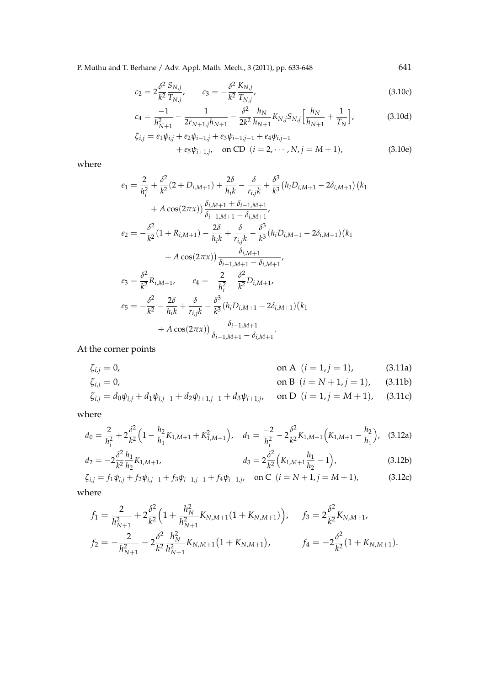P. Muthu and T. Berhane / Adv. Appl. Math. Mech., 3 (2011), pp. 633-648 641

$$
c_2 = 2\frac{\delta^2}{k^2} \frac{S_{N,j}}{T_{N,j}}, \qquad c_3 = -\frac{\delta^2}{k^2} \frac{K_{N,j}}{T_{N,j}},
$$
(3.10c)

$$
c_4 = \frac{-1}{h_{N+1}^2} - \frac{1}{2r_{N+1,j}h_{N+1}} - \frac{\delta^2}{2k^2} \frac{h_N}{h_{N+1}} K_{N,j} S_{N,j} \left[ \frac{h_N}{h_{N+1}} + \frac{1}{T_N} \right],
$$
(3.10d)

$$
\zeta_{i,j} = e_1 \psi_{i,j} + e_2 \psi_{i-1,j} + e_3 \psi_{i-1,j-1} + e_4 \psi_{i,j-1} \n+ e_5 \psi_{i+1,j}, \quad \text{on CD} \ \ (i = 2, \cdots, N, j = M+1),
$$
\n(3.10e)

where

$$
e_{1} = \frac{2}{h_{i}^{2}} + \frac{\delta^{2}}{k^{2}}(2 + D_{i,M+1}) + \frac{2\delta}{h_{i}k} - \frac{\delta}{r_{i,j}k} + \frac{\delta^{3}}{k^{3}}(h_{i}D_{i,M+1} - 2\delta_{i,M+1})(k_{1} + A\cos(2\pi x))\frac{\delta_{i,M+1} + \delta_{i-1,M+1}}{\delta_{i-1,M+1} - \delta_{i,M+1}},
$$
  
\n
$$
e_{2} = -\frac{\delta^{2}}{k^{2}}(1 + R_{i,M+1}) - \frac{2\delta}{h_{i}k} + \frac{\delta}{r_{i,j}k} - \frac{\delta^{3}}{k^{3}}(h_{i}D_{i,M+1} - 2\delta_{i,M+1})(k_{1} + A\cos(2\pi x))\frac{\delta_{i,M+1}}{\delta_{i-1,M+1} - \delta_{i,M+1}},
$$
  
\n
$$
e_{3} = \frac{\delta^{2}}{k^{2}}R_{i,M+1}, \qquad e_{4} = -\frac{2}{h_{i}^{2}} - \frac{\delta^{2}}{k^{2}}D_{i,M+1},
$$
  
\n
$$
e_{5} = -\frac{\delta^{2}}{k^{2}} - \frac{2\delta}{h_{i}k} + \frac{\delta}{r_{i,j}k} - \frac{\delta^{3}}{k^{3}}(h_{i}D_{i,M+1} - 2\delta_{i,M+1})(k_{1} + A\cos(2\pi x))\frac{\delta_{i-1,M+1}}{\delta_{i-1,M+1} - \delta_{i,M+1}}.
$$

At the corner points

$$
\zeta_{i,j} = 0, \qquad \text{on A } (i = 1, j = 1), \qquad (3.11a)
$$

$$
\zeta_{i,j} = 0, \qquad \text{on } B \ (i = N + 1, j = 1), \qquad (3.11b)
$$

$$
\zeta_{i,j} = d_0 \psi_{i,j} + d_1 \psi_{i,j-1} + d_2 \psi_{i+1,j-1} + d_3 \psi_{i+1,j}, \quad \text{on } D \ (i = 1, j = M+1), \quad (3.11c)
$$

where

$$
d_0 = \frac{2}{h_i^2} + 2\frac{\delta^2}{k^2} \Big( 1 - \frac{h_2}{h_1} K_{1,M+1} + K_{1,M+1}^2 \Big), \quad d_1 = \frac{-2}{h_i^2} - 2\frac{\delta^2}{k^2} K_{1,M+1} \Big( K_{1,M+1} - \frac{h_2}{h_1} \Big), \quad (3.12a)
$$

$$
d_2 = -2\frac{\delta^2}{k^2} \frac{h_1}{h_2} K_{1,M+1}, \qquad d_3 = 2\frac{\delta^2}{k^2} \left( K_{1,M+1} \frac{h_1}{h_2} - 1 \right), \tag{3.12b}
$$

$$
\zeta_{i,j} = f_1 \psi_{i,j} + f_2 \psi_{i,j-1} + f_3 \psi_{i-1,j-1} + f_4 \psi_{i-1,j}, \quad \text{on } C \ (i = N+1, j = M+1),
$$
 (3.12c)

where

$$
f_1 = \frac{2}{h_{N+1}^2} + 2\frac{\delta^2}{k^2} \Big( 1 + \frac{h_N^2}{h_{N+1}^2} K_{N,M+1} (1 + K_{N,M+1}) \Big), \quad f_3 = 2\frac{\delta^2}{k^2} K_{N,M+1},
$$
  

$$
f_2 = -\frac{2}{h_{N+1}^2} - 2\frac{\delta^2}{k^2} \frac{h_N^2}{h_{N+1}^2} K_{N,M+1} (1 + K_{N,M+1}), \quad f_4 = -2\frac{\delta^2}{k^2} (1 + K_{N,M+1}).
$$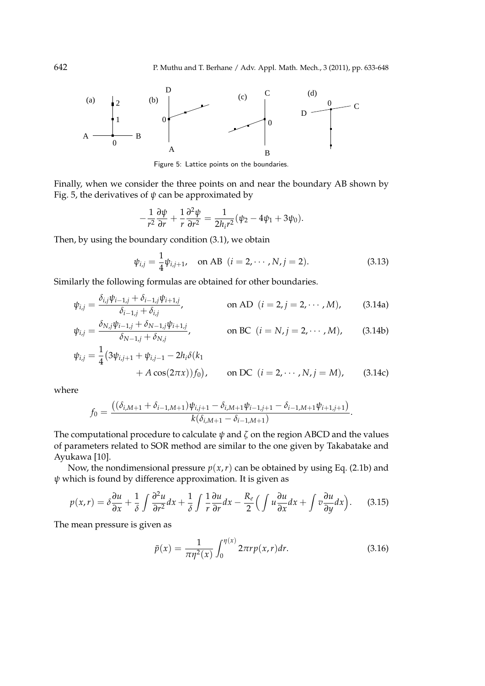

Figure 5: Lattice points on the boundaries.

Finally, when we consider the three points on and near the boundary AB shown by Fig. 5, the derivatives of  $\psi$  can be approximated by

$$
-\frac{1}{r^2}\frac{\partial\psi}{\partial r}+\frac{1}{r}\frac{\partial^2\psi}{\partial r^2}=\frac{1}{2h_ir^2}(\psi_2-4\psi_1+3\psi_0).
$$

Then, by using the boundary condition (3.1), we obtain

$$
\psi_{i,j} = \frac{1}{4} \psi_{i,j+1}, \quad \text{on AB} \ \ (i = 2, \cdots, N, j = 2). \tag{3.13}
$$

Similarly the following formulas are obtained for other boundaries.

$$
\psi_{i,j} = \frac{\delta_{i,j}\psi_{i-1,j} + \delta_{i-1,j}\psi_{i+1,j}}{\delta_{i-1,j} + \delta_{i,j}}, \qquad \text{on AD } (i = 2, j = 2, \cdots, M), \qquad (3.14a)
$$

$$
\psi_{i,j} = \frac{\delta_{N,j}\psi_{i-1,j} + \delta_{N-1,j}\psi_{i+1,j}}{\delta_{N-1,j} + \delta_{N,j}}, \quad \text{on BC } (i = N, j = 2, \cdots, M), \quad (3.14b)
$$

$$
\psi_{i,j} = \frac{1}{4} \left( 3\psi_{i,j+1} + \psi_{i,j-1} - 2h_i \delta(k_1) + A \cos(2\pi x) \right) f_0,
$$
 on DC  $(i = 2, \dots, N, j = M)$ , (3.14c)

where

$$
f_0 = \frac{((\delta_{i,M+1} + \delta_{i-1,M+1})\psi_{i,j+1} - \delta_{i,M+1}\psi_{i-1,j+1} - \delta_{i-1,M+1}\psi_{i+1,j+1})}{k(\delta_{i,M+1} - \delta_{i-1,M+1})}.
$$

The computational procedure to calculate  $\psi$  and  $\zeta$  on the region ABCD and the values of parameters related to SOR method are similar to the one given by Takabatake and Ayukawa [10].

Now, the nondimensional pressure  $p(x, r)$  can be obtained by using Eq. (2.1b) and *ψ* which is found by difference approximation. It is given as

$$
p(x,r) = \delta \frac{\partial u}{\partial x} + \frac{1}{\delta} \int \frac{\partial^2 u}{\partial r^2} dx + \frac{1}{\delta} \int \frac{1}{r} \frac{\partial u}{\partial r} dx - \frac{R_e}{2} \Big( \int u \frac{\partial u}{\partial x} dx + \int v \frac{\partial u}{\partial y} dx \Big). \tag{3.15}
$$

The mean pressure is given as

$$
\bar{p}(x) = \frac{1}{\pi \eta^2(x)} \int_0^{\eta(x)} 2\pi r p(x, r) dr.
$$
 (3.16)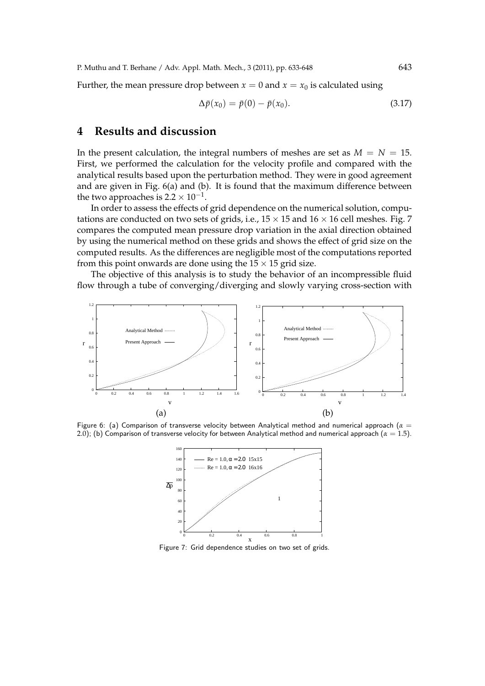P. Muthu and T. Berhane / Adv. Appl. Math. Mech., 3 (2011), pp. 633-648 643

Further, the mean pressure drop between  $x = 0$  and  $x = x_0$  is calculated using

$$
\Delta \bar{p}(x_0) = \bar{p}(0) - \bar{p}(x_0).
$$
\n(3.17)

### **4 Results and discussion**

In the present calculation, the integral numbers of meshes are set as  $M = N = 15$ . First, we performed the calculation for the velocity profile and compared with the analytical results based upon the perturbation method. They were in good agreement and are given in Fig. 6(a) and (b). It is found that the maximum difference between the two approaches is 2.2  $\times$   $10^{-1}$ .

In order to assess the effects of grid dependence on the numerical solution, computations are conducted on two sets of grids, i.e., 15 *×* 15 and 16 *×* 16 cell meshes. Fig. 7 compares the computed mean pressure drop variation in the axial direction obtained by using the numerical method on these grids and shows the effect of grid size on the computed results. As the differences are negligible most of the computations reported from this point onwards are done using the  $15 \times 15$  grid size.

The objective of this analysis is to study the behavior of an incompressible fluid flow through a tube of converging/diverging and slowly varying cross-section with



Figure 6: (a) Comparison of transverse velocity between Analytical method and numerical approach (*α* = 2.0); (b) Comparison of transverse velocity for between Analytical method and numerical approach (*α* = 1.5).



Figure 7: Grid dependence studies on two set of grids.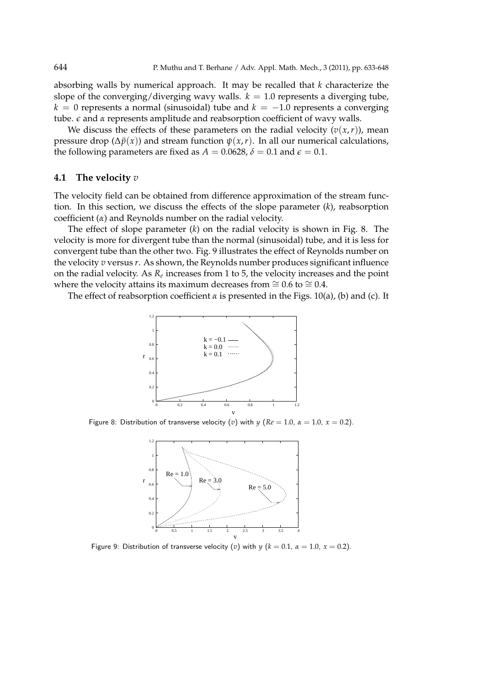absorbing walls by numerical approach. It may be recalled that *k* characterize the slope of the converging/diverging wavy walls.  $k = 1.0$  represents a diverging tube, *k* = 0 represents a normal (sinusoidal) tube and *k* = *−*1.0 represents a converging tube.  $\epsilon$  and  $\alpha$  represents amplitude and reabsorption coefficient of wavy walls.

We discuss the effects of these parameters on the radial velocity  $(v(x, r))$ , mean pressure drop ( $\Delta \bar{p}(x)$ ) and stream function  $\psi(x,r)$ . In all our numerical calculations, the following parameters are fixed as  $A = 0.0628$ ,  $\delta = 0.1$  and  $\epsilon = 0.1$ .

#### **4.1 The velocity** *v*

The velocity field can be obtained from difference approximation of the stream function. In this section, we discuss the effects of the slope parameter (*k*), reabsorption coefficient (*α*) and Reynolds number on the radial velocity.

The effect of slope parameter (*k*) on the radial velocity is shown in Fig. 8. The velocity is more for divergent tube than the normal (sinusoidal) tube, and it is less for convergent tube than the other two. Fig. 9 illustrates the effect of Reynolds number on the velocity *v* versus *r*. As shown, the Reynolds number produces significant influence on the radial velocity. As  $R_e$  increases from 1 to 5, the velocity increases and the point where the velocity attains its maximum decreases from  $\approx$  0.6 to  $\approx$  0.4.

The effect of reabsorption coefficient  $\alpha$  is presented in the Figs. 10(a), (b) and (c). It



Figure 8: Distribution of transverse velocity (*v*) with *y* ( $Re = 1.0$ ,  $\alpha = 1.0$ ,  $x = 0.2$ ).



Figure 9: Distribution of transverse velocity (*v*) with  $y$  ( $k = 0.1$ ,  $\alpha = 1.0$ ,  $x = 0.2$ ).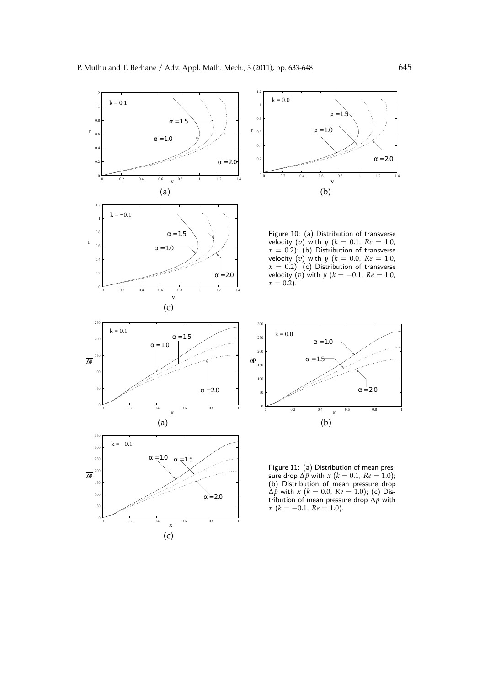



Figure 10: (a) Distribution of transverse velocity (*v*) with *y* ( $k = 0.1$ ,  $Re = 1.0$ ,  $x = 0.2$ ); (b) Distribution of transverse velocity (*v*) with  $y$  ( $k = 0.0$ ,  $Re = 1.0$ ,  $x = 0.2$ ); (c) Distribution of transverse velocity (*v*) with *y* (*k* = *−*0.1, *Re* = 1.0, *x* = 0.2).



Figure 11: (a) Distribution of mean pressure drop  $\Delta \bar{p}$  with *x* (*k* = 0.1, *Re* = 1.0); (b) Distribution of mean pressure drop  $\Delta \bar{p}$  with *x* (*k* = 0.0, *Re* = 1.0); (c) Distribution of mean pressure drop ∆*p*¯ with *x* (*k* = *−*0.1, *Re* = 1.0).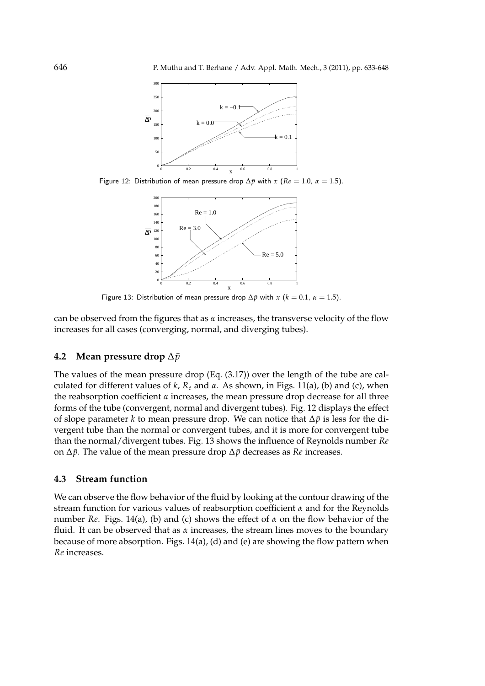

Figure 12: Distribution of mean pressure drop  $\Delta \bar{p}$  with *x* ( $Re = 1.0$ ,  $\alpha = 1.5$ ).



Figure 13: Distribution of mean pressure drop  $\Delta \bar{p}$  with *x* ( $k = 0.1$ ,  $\alpha = 1.5$ ).

can be observed from the figures that as *α* increases, the transverse velocity of the flow increases for all cases (converging, normal, and diverging tubes).

#### **4.2** Mean pressure drop ∆ $\bar{p}$

The values of the mean pressure drop (Eq. (3.17)) over the length of the tube are calculated for different values of *k*, *R<sup>e</sup>* and *α*. As shown, in Figs. 11(a), (b) and (c), when the reabsorption coefficient  $\alpha$  increases, the mean pressure drop decrease for all three forms of the tube (convergent, normal and divergent tubes). Fig. 12 displays the effect of slope parameter *k* to mean pressure drop. We can notice that ∆*p*¯ is less for the divergent tube than the normal or convergent tubes, and it is more for convergent tube than the normal/divergent tubes. Fig. 13 shows the influence of Reynolds number *Re* on  $\Delta \bar{p}$ . The value of the mean pressure drop  $\Delta \bar{p}$  decreases as *Re* increases.

#### **4.3 Stream function**

We can observe the flow behavior of the fluid by looking at the contour drawing of the stream function for various values of reabsorption coefficient *α* and for the Reynolds number *Re*. Figs. 14(a), (b) and (c) shows the effect of *α* on the flow behavior of the fluid. It can be observed that as *α* increases, the stream lines moves to the boundary because of more absorption. Figs. 14(a), (d) and (e) are showing the flow pattern when *Re* increases.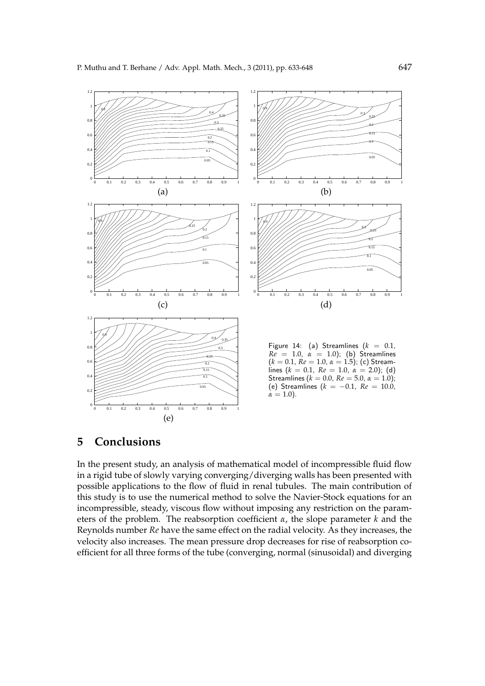

### **5 Conclusions**

In the present study, an analysis of mathematical model of incompressible fluid flow in a rigid tube of slowly varying converging/diverging walls has been presented with possible applications to the flow of fluid in renal tubules. The main contribution of this study is to use the numerical method to solve the Navier-Stock equations for an incompressible, steady, viscous flow without imposing any restriction on the parameters of the problem. The reabsorption coefficient *α*, the slope parameter *k* and the Reynolds number *Re* have the same effect on the radial velocity. As they increases, the velocity also increases. The mean pressure drop decreases for rise of reabsorption coefficient for all three forms of the tube (converging, normal (sinusoidal) and diverging